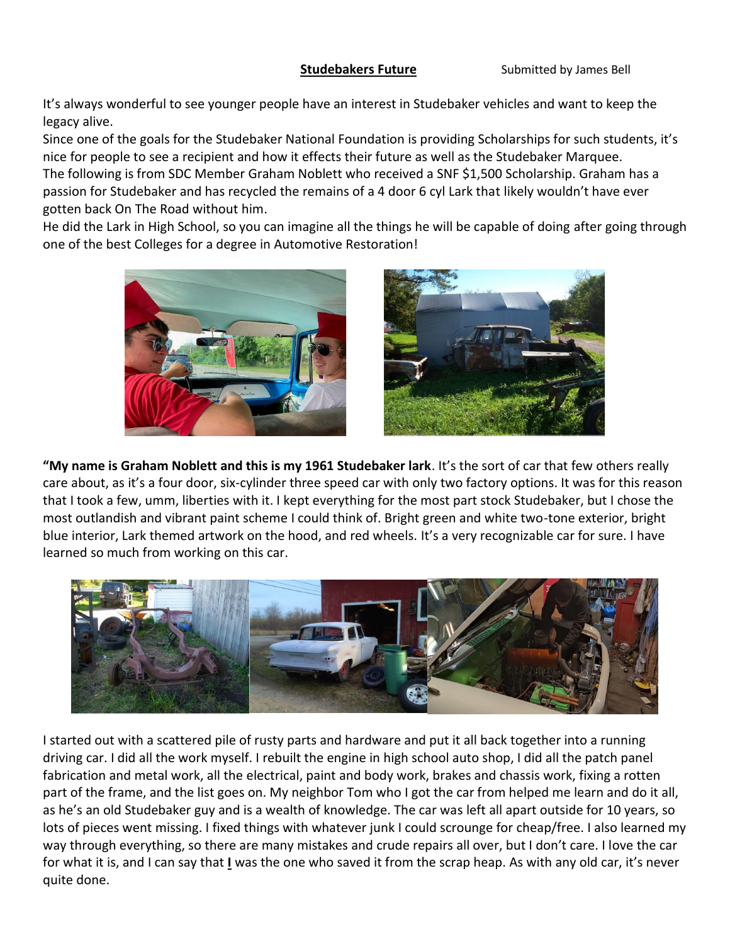**Studebakers Future** Submitted by James Bell

It's always wonderful to see younger people have an interest in Studebaker vehicles and want to keep the legacy alive.

Since one of the goals for the Studebaker National Foundation is providing Scholarships for such students, it's nice for people to see a recipient and how it effects their future as well as the Studebaker Marquee. The following is from SDC Member Graham Noblett who received a SNF \$1,500 Scholarship. Graham has a passion for Studebaker and has recycled the remains of a 4 door 6 cyl Lark that likely wouldn't have ever gotten back On The Road without him.

He did the Lark in High School, so you can imagine all the things he will be capable of doing after going through one of the best Colleges for a degree in Automotive Restoration!





**"My name is Graham Noblett and this is my 1961 Studebaker lark**. It's the sort of car that few others really care about, as it's a four door, six-cylinder three speed car with only two factory options. It was for this reason that I took a few, umm, liberties with it. I kept everything for the most part stock Studebaker, but I chose the most outlandish and vibrant paint scheme I could think of. Bright green and white two-tone exterior, bright blue interior, Lark themed artwork on the hood, and red wheels. It's a very recognizable car for sure. I have learned so much from working on this car.



I started out with a scattered pile of rusty parts and hardware and put it all back together into a running driving car. I did all the work myself. I rebuilt the engine in high school auto shop, I did all the patch panel fabrication and metal work, all the electrical, paint and body work, brakes and chassis work, fixing a rotten part of the frame, and the list goes on. My neighbor Tom who I got the car from helped me learn and do it all, as he's an old Studebaker guy and is a wealth of knowledge. The car was left all apart outside for 10 years, so lots of pieces went missing. I fixed things with whatever junk I could scrounge for cheap/free. I also learned my way through everything, so there are many mistakes and crude repairs all over, but I don't care. I love the car for what it is, and I can say that **I** was the one who saved it from the scrap heap. As with any old car, it's never quite done.